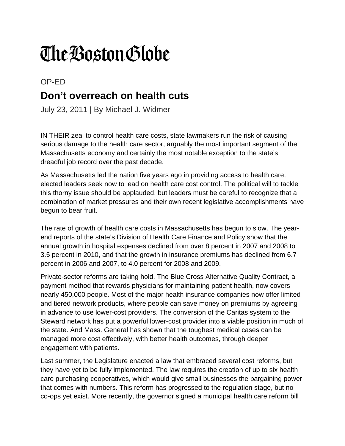## The Boston Globe

OP-ED

## **Don't overreach on health cuts**

July 23, 2011 | By Michael J. Widmer

IN THEIR zeal to control health care costs, state lawmakers run the risk of causing serious damage to the health care sector, arguably the most important segment of the Massachusetts economy and certainly the most notable exception to the state's dreadful job record over the past decade.

As Massachusetts led the nation five years ago in providing access to health care, elected leaders seek now to lead on health care cost control. The political will to tackle this thorny issue should be applauded, but leaders must be careful to recognize that a combination of market pressures and their own recent legislative accomplishments have begun to bear fruit.

The rate of growth of health care costs in Massachusetts has begun to slow. The yearend reports of the state's Division of Health Care Finance and Policy show that the annual growth in hospital expenses declined from over 8 percent in 2007 and 2008 to 3.5 percent in 2010, and that the growth in insurance premiums has declined from 6.7 percent in 2006 and 2007, to 4.0 percent for 2008 and 2009.

Private-sector reforms are taking hold. The Blue Cross Alternative Quality Contract, a payment method that rewards physicians for maintaining patient health, now covers nearly 450,000 people. Most of the major health insurance companies now offer limited and tiered network products, where people can save money on premiums by agreeing in advance to use lower-cost providers. The conversion of the Caritas system to the Steward network has put a powerful lower-cost provider into a viable position in much of the state. And Mass. General has shown that the toughest medical cases can be managed more cost effectively, with better health outcomes, through deeper engagement with patients.

Last summer, the Legislature enacted a law that embraced several cost reforms, but they have yet to be fully implemented. The law requires the creation of up to six health care purchasing cooperatives, which would give small businesses the bargaining power that comes with numbers. This reform has progressed to the regulation stage, but no co-ops yet exist. More recently, the governor signed a municipal health care reform bill